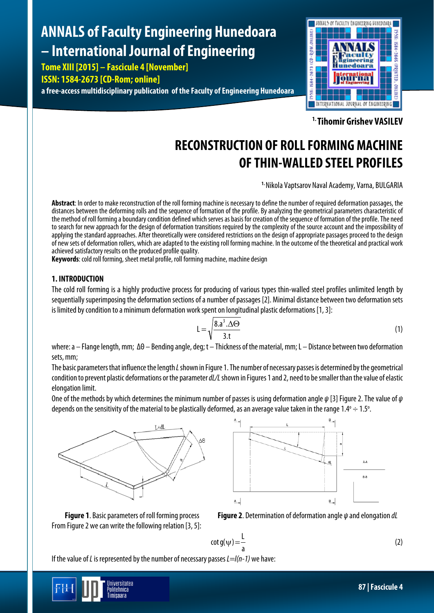# **ANNALS of Faculty Engineering Hunedoara – International Journal of Engineering**

**Tome XIII [2015] – Fascicule 4 [November] ISSN: 1584-2673 [CD-Rom; online] a free-access multidisciplinary publication of the Faculty of Engineering Hunedoara**



**1. Tihomir Grishev VASILEV**

# **RECONSTRUCTION OF ROLL FORMING MACHINE OF THIN-WALLED STEEL PROFILES**

**1.** Nikola Vaptsarov Naval Academy, Varna, BULGARIA

**Abstract**: In order to make reconstruction of the roll forming machine is necessary to define the number of required deformation passages, the distances between the deforming rolls and the sequence of formation of the profile. By analyzing the geometrical parameters characteristic of the method of roll forming a boundary condition defined which serves as basis for creation of the sequence of formation of the profile. The need to search for new approach for the design of deformation transitions required by the complexity of the source account and the impossibility of applying the standard approaches. After theoretically were considered restrictions on the design of appropriate passages proceed to the design of new sets of deformation rollers, which are adapted to the existing roll forming machine. In the outcome of the theoretical and practical work achieved satisfactory results on the produced profile quality.

**Keywords:** cold roll forming, sheet metal profile, roll forming machine, machine design

# **1. INTRODUCTION**

The cold roll forming is a highly productive process for producing of various types thin-walled steel profiles unlimited length by sequentially superimposing the deformation sections of a number of passages [2]. Minimal distance between two deformation sets is limited by condition to a minimum deformation work spent on longitudinal plastic deformations [1, 3]:

$$
L = \sqrt{\frac{8 \cdot a^3 \cdot \Delta \Theta}{3 \cdot t}}
$$
 (1)

where:а – Flange length, mm; ΔΘ – Bending angle, deg; t – Thickness of the material, mm;L – Distance between two deformation sets, mm;

The basic parameters that influence the length *L*shown in Figure 1.The number of necessary passes is determined by the geometrical condition to prevent plastic deformations or the parameter *dL/L*shown in Figures 1 and 2, need to be smaller than the value of elastic elongation limit.

One of the methods by which determines the minimum number of passes is using deformation angle *ψ* [3] Figure2. The value of *ψ* depends on the sensitivity of the material to be plastically deformed, as an average value taken in the range  $1.4^{\circ} \div 1.5^{\circ}$ . .<br>.





**Figure 1**. Basic parametersof roll forming process **Figure 2**. Determination of deformation angle *ψ* and elongation *dL*

From Figure 2 we can write the following relation [3, 5]:

$$
\cot g(\psi) = \frac{1}{a} \tag{2}
$$

If the value of *L*is represented by the number of necessary passes *L=l(n-1)* we have:

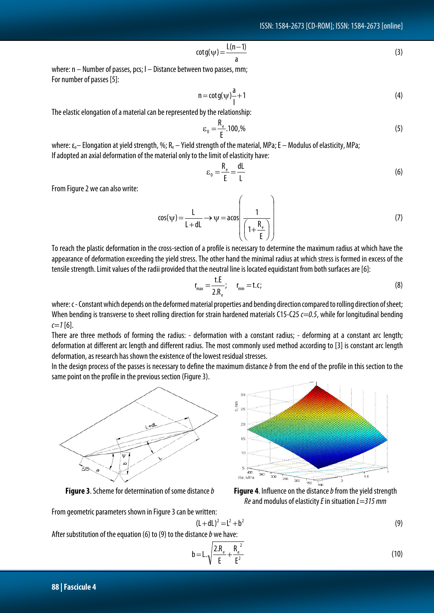$$
cot g(\psi) = \frac{L(n-1)}{a}
$$
 (3)

where: n – Number of passes, pcs; l – Distance between two passes, mm; For number of passes [5]:

$$
n = \cot g(\psi) \frac{a}{l} + 1 \tag{4}
$$

The elastic elongation of a material can be represented by the relationship:

$$
\varepsilon_0 = \frac{R_e}{E} .100,\%
$$
\n<sup>(5)</sup>

where:  $\varepsilon_o$ – Elongation at yield strength, %; R<sub>e</sub> – Yield strength of the material, MPa; E – Modulus of elasticity, MPa; If adopted an axial deformation of the material only to the limit of elasticity have:

$$
\varepsilon_0 = \frac{R_e}{E} = \frac{dL}{L} \tag{6}
$$

From Figure 2 we can also write:

$$
\cos(\psi) = \frac{L}{L + dL} \rightarrow \psi = a \cos\left(\frac{1}{\left(1 + \frac{R_e}{E}\right)}\right) \tag{7}
$$

To reach the plastic deformation in the cross-section of a profile is necessary to determine the maximum radius at which have the appearance of deformation exceeding the yield stress.The other hand the minimal radius at which stress is formed in excess of the tensile strength. Limit values of the radii provided that the neutral line is located equidistant from both surfaces are [6]:

$$
r_{\text{max}} = \frac{t.E}{2.R_e}; \qquad r_{\text{min}} = t.c;
$$
 (8)

where: c - Constant which depends on the deformed material properties and bending direction compared to rolling direction of sheet; When bending is transverse to sheet rolling direction for strain hardened materials C15-C25 *c=0.5*, while for longitudinal bending  $\epsilon = 1$  [6].

There are three methods of forming the radius: - deformation with a constant radius; - deforming at a constant arc length; deformation at different arc length and different radius. The most commonly used method according to [3] is constant arc length deformation, as research has shown the existence of the lowest residual stresses.

In the design process of the passes is necessary to define the maximum distance *b* from the end of the profile in this section to the same point on the profile in the previous section (Figure 3).



**Figure 3**.Scheme for determination of some distance *b* **Figure 4**. Influence on the distance *b*fromthe yield strength



 $(L+dL)^2 = L^2 + b^2$  (9)



$$
b = L \cdot \sqrt{\frac{2.R_e}{E} + \frac{R_e^2}{E^2}}
$$
 (10)

**88 | Fascicule 4**

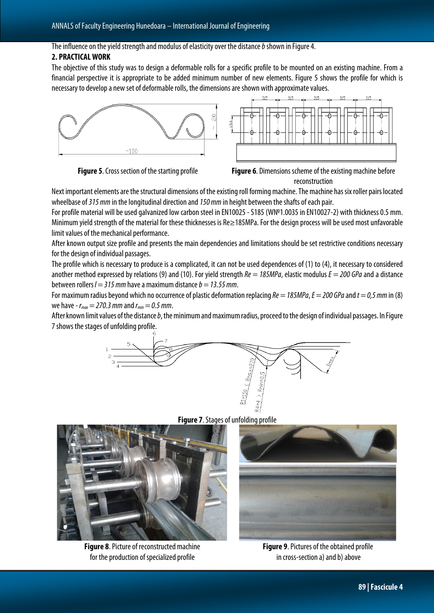#### The influence on the yield strength and modulus of elasticity over the distance *b*shown in Figure 4.

### **2. PRACTICAL WORK**

The objective of this study was to design a deformable rolls for a specific profile to be mounted on an existing machine. From a financial perspective it is appropriate to be added minimum number of new elements. Figure 5 shows the profile for which is necessary to develop a new set of deformable rolls, the dimensions are shown with approximate values.





Next important elements are the structural dimensions of the existing roll forming machine. The machine has six roller pairs located wheelbase of *315 mm* in the longitudinal direction and *150 mm* in height between the shafts of each pair.

For profile material will be used galvanized low carbon steel in EN10025 -S185 (W№1.0035 in EN10027-2) with thickness 0.5 mm. Minimum yield strength of the material for these thicknesses is Re≥185MPa. For the design process will be used most unfavorable limit values of the mechanical performance.

After known output size profile and presents the main dependencies and limitations should be set restrictive conditions necessary for the design of individual passages.

The profile which is necessary to produce is a complicated, it can not be used dependences of (1) to (4), it necessary to considered another method expressed by relations (9) and (10). For yield strength *Re = 185MPa*, elastic modulus *E = 200 GPa*and a distance between rollers *l = 315 mm* have a maximum distance *b = 13.55 mm*.

For maximum radius beyond which no occurrence of plastic deformation replacing *Re = 185MPa*, *E = 200 GPa*and *t = 0,5 mm* in (8) we have - *rmax= 270.3 mm* and *rmin= 0.5 mm*.

After known limit values of the distance *b*, the minimum and maximum radius, proceed to the design of individual passages. In Figure 7 shows the stages of unfolding profile.





**Figure 8. Picture of reconstructed machine** for the production of specialized profile



**Figure 9. Pictures of the obtained profile** in cross-section a) and b) above

**Figure 7.** Stages of unfolding profile